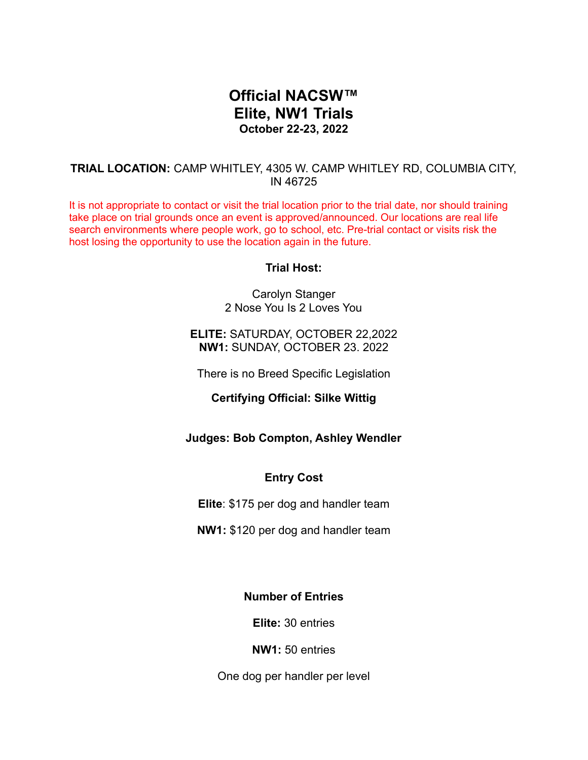# **Official NACSW™ Elite, NW1 Trials October 22-23, 2022**

## **TRIAL LOCATION:** CAMP WHITLEY, 4305 W. CAMP WHITLEY RD, COLUMBIA CITY, IN 46725

It is not appropriate to contact or visit the trial location prior to the trial date, nor should training take place on trial grounds once an event is approved/announced. Our locations are real life search environments where people work, go to school, etc. Pre-trial contact or visits risk the host losing the opportunity to use the location again in the future.

### **Trial Host:**

Carolyn Stanger 2 Nose You Is 2 Loves You

### **ELITE:** SATURDAY, OCTOBER 22,2022 **NW1:** SUNDAY, OCTOBER 23. 2022

There is no Breed Specific Legislation

### **Certifying Official: Silke Wittig**

### **Judges: Bob Compton, Ashley Wendler**

### **Entry Cost**

**Elite**: \$175 per dog and handler team

**NW1:** \$120 per dog and handler team

# **Number of Entries**

**Elite:** 30 entries

**NW1:** 50 entries

One dog per handler per level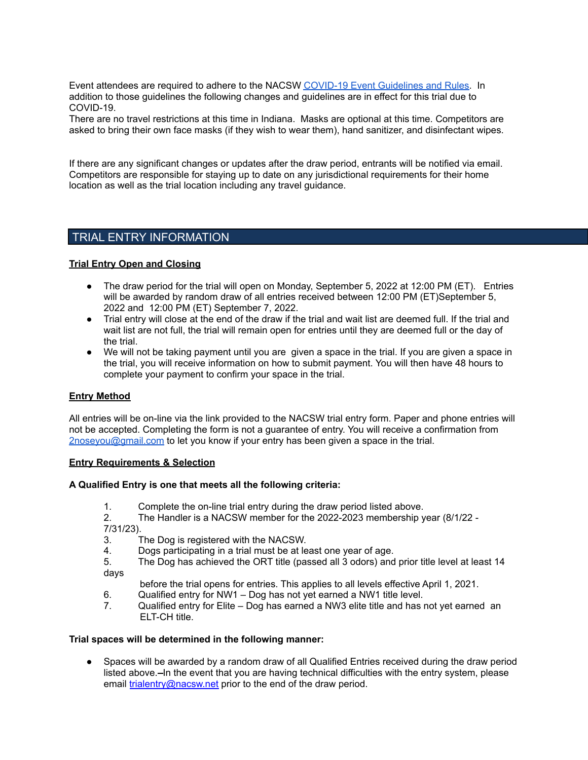Event attendees are required to adhere to the NACSW COVID-19 Event [Guidelines](https://drive.google.com/open?id=1pMMICXeMDJV2iFxAFOuPAMXEBoRmaik0qzSE4tiZuSI) and Rules. In addition to those guidelines the following changes and guidelines are in effect for this trial due to COVID-19.

There are no travel restrictions at this time in Indiana. Masks are optional at this time. Competitors are asked to bring their own face masks (if they wish to wear them), hand sanitizer, and disinfectant wipes.

If there are any significant changes or updates after the draw period, entrants will be notified via email. Competitors are responsible for staying up to date on any jurisdictional requirements for their home location as well as the trial location including any travel guidance.

# TRIAL ENTRY INFORMATION

### **Trial Entry Open and Closing**

- The draw period for the trial will open on Monday, September 5, 2022 at 12:00 PM (ET). Entries will be awarded by random draw of all entries received between 12:00 PM (ET)September 5, 2022 and 12:00 PM (ET) September 7, 2022.
- Trial entry will close at the end of the draw if the trial and wait list are deemed full. If the trial and wait list are not full, the trial will remain open for entries until they are deemed full or the day of the trial.
- We will not be taking payment until you are given a space in the trial. If you are given a space in the trial, you will receive information on how to submit payment. You will then have 48 hours to complete your payment to confirm your space in the trial.

#### **Entry Method**

All entries will be on-line via the link provided to the NACSW trial entry form. Paper and phone entries will not be accepted. Completing the form is not a guarantee of entry. You will receive a confirmation from [2noseyou@gmail.com](mailto:2noseyou@gmail.com) to let you know if your entry has been given a space in the trial.

#### **Entry Requirements & Selection**

#### **A Qualified Entry is one that meets all the following criteria:**

- 1. Complete the on-line trial entry during the draw period listed above.
- 2. The Handler is a NACSW member for the 2022-2023 membership year (8/1/22 7/31/23).
- 3. The Dog is registered with the NACSW.
- 4. Dogs participating in a trial must be at least one year of age.
- 5. The Dog has achieved the ORT title (passed all 3 odors) and prior title level at least 14 days
- before the trial opens for entries. This applies to all levels effective April 1, 2021.
- 6. Qualified entry for NW1 Dog has not yet earned a NW1 title level.
- 7. Qualified entry for Elite Dog has earned a NW3 elite title and has not yet earned an ELT-CH title.

#### **Trial spaces will be determined in the following manner:**

Spaces will be awarded by a random draw of all Qualified Entries received during the draw period listed above.—In the event that you are having technical difficulties with the entry system, please email [trialentry@nacsw.net](mailto:trialentry@nacsw.net) prior to the end of the draw period.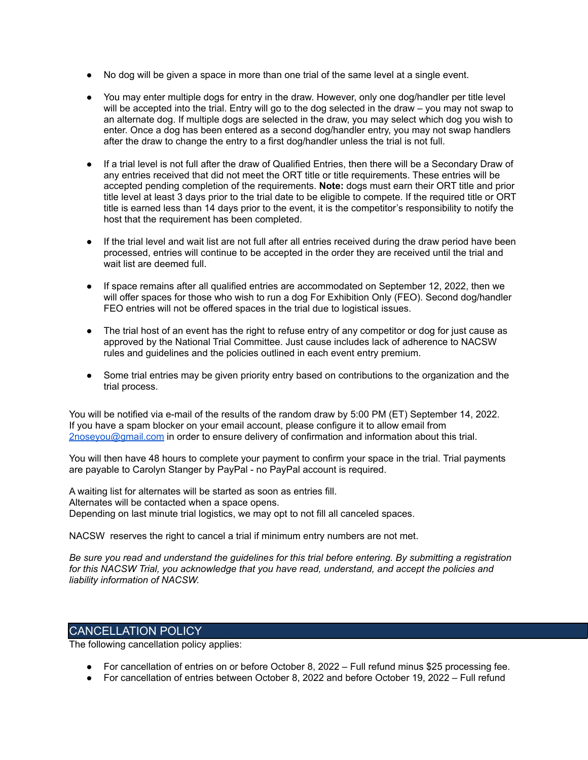- No dog will be given a space in more than one trial of the same level at a single event.
- You may enter multiple dogs for entry in the draw. However, only one dog/handler per title level will be accepted into the trial. Entry will go to the dog selected in the draw – you may not swap to an alternate dog. If multiple dogs are selected in the draw, you may select which dog you wish to enter. Once a dog has been entered as a second dog/handler entry, you may not swap handlers after the draw to change the entry to a first dog/handler unless the trial is not full.
- If a trial level is not full after the draw of Qualified Entries, then there will be a Secondary Draw of any entries received that did not meet the ORT title or title requirements. These entries will be accepted pending completion of the requirements. **Note:** dogs must earn their ORT title and prior title level at least 3 days prior to the trial date to be eligible to compete. If the required title or ORT title is earned less than 14 days prior to the event, it is the competitor's responsibility to notify the host that the requirement has been completed.
- If the trial level and wait list are not full after all entries received during the draw period have been processed, entries will continue to be accepted in the order they are received until the trial and wait list are deemed full.
- If space remains after all qualified entries are accommodated on September 12, 2022, then we will offer spaces for those who wish to run a dog For Exhibition Only (FEO). Second dog/handler FEO entries will not be offered spaces in the trial due to logistical issues.
- The trial host of an event has the right to refuse entry of any competitor or dog for just cause as approved by the National Trial Committee. Just cause includes lack of adherence to NACSW rules and guidelines and the policies outlined in each event entry premium.
- Some trial entries may be given priority entry based on contributions to the organization and the trial process.

You will be notified via e-mail of the results of the random draw by 5:00 PM (ET) September 14, 2022. If you have a spam blocker on your email account, please configure it to allow email from [2noseyou@gmail.com](mailto:2noseyou@gmail.com) in order to ensure delivery of confirmation and information about this trial.

You will then have 48 hours to complete your payment to confirm your space in the trial. Trial payments are payable to Carolyn Stanger by PayPal - no PayPal account is required.

A waiting list for alternates will be started as soon as entries fill. Alternates will be contacted when a space opens. Depending on last minute trial logistics, we may opt to not fill all canceled spaces.

NACSW reserves the right to cancel a trial if minimum entry numbers are not met.

Be sure you read and understand the quidelines for this trial before entering. By submitting a registration *for this NACSW Trial, you acknowledge that you have read, understand, and accept the policies and liability information of NACSW.*

### CANCELLATION POLICY

The following cancellation policy applies:

- For cancellation of entries on or before October 8, 2022 Full refund minus \$25 processing fee.
- For cancellation of entries between October 8, 2022 and before October 19, 2022 Full refund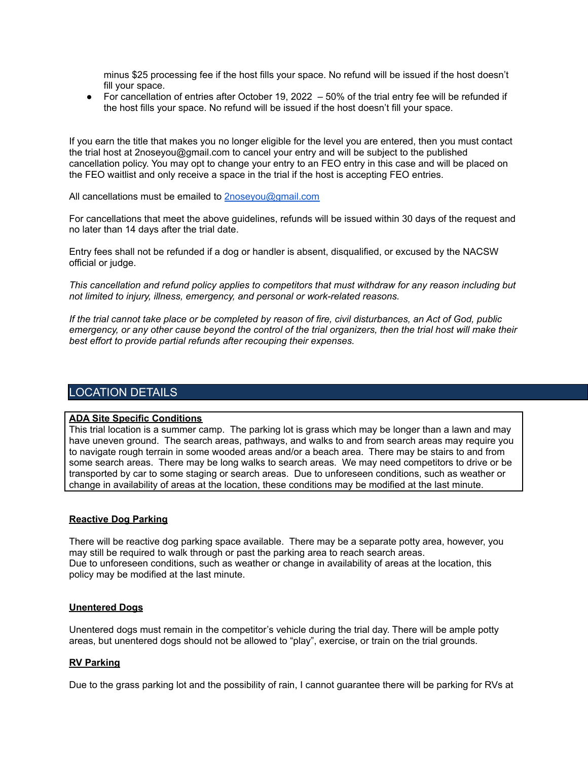minus \$25 processing fee if the host fills your space. No refund will be issued if the host doesn't fill your space.

● For cancellation of entries after October 19, 2022 – 50% of the trial entry fee will be refunded if the host fills your space. No refund will be issued if the host doesn't fill your space.

If you earn the title that makes you no longer eligible for the level you are entered, then you must contact the trial host at 2noseyou@gmail.com to cancel your entry and will be subject to the published cancellation policy. You may opt to change your entry to an FEO entry in this case and will be placed on the FEO waitlist and only receive a space in the trial if the host is accepting FEO entries.

All cancellations must be emailed to [2noseyou@gmail.com](mailto:2noseyou@gmail.com)

For cancellations that meet the above guidelines, refunds will be issued within 30 days of the request and no later than 14 days after the trial date.

Entry fees shall not be refunded if a dog or handler is absent, disqualified, or excused by the NACSW official or judge.

*This cancellation and refund policy applies to competitors that must withdraw for any reason including but not limited to injury, illness, emergency, and personal or work-related reasons.*

If the trial cannot take place or be completed by reason of fire, civil disturbances, an Act of God, public emergency, or any other cause beyond the control of the trial organizers, then the trial host will make their *best effort to provide partial refunds after recouping their expenses.*

### LOCATION DETAILS

#### **ADA Site Specific Conditions**

This trial location is a summer camp. The parking lot is grass which may be longer than a lawn and may have uneven ground. The search areas, pathways, and walks to and from search areas may require you to navigate rough terrain in some wooded areas and/or a beach area. There may be stairs to and from some search areas. There may be long walks to search areas. We may need competitors to drive or be transported by car to some staging or search areas. Due to unforeseen conditions, such as weather or change in availability of areas at the location, these conditions may be modified at the last minute.

#### **Reactive Dog Parking**

There will be reactive dog parking space available. There may be a separate potty area, however, you may still be required to walk through or past the parking area to reach search areas. Due to unforeseen conditions, such as weather or change in availability of areas at the location, this policy may be modified at the last minute.

#### **Unentered Dogs**

Unentered dogs must remain in the competitor's vehicle during the trial day. There will be ample potty areas, but unentered dogs should not be allowed to "play", exercise, or train on the trial grounds.

#### **RV Parking**

Due to the grass parking lot and the possibility of rain, I cannot guarantee there will be parking for RVs at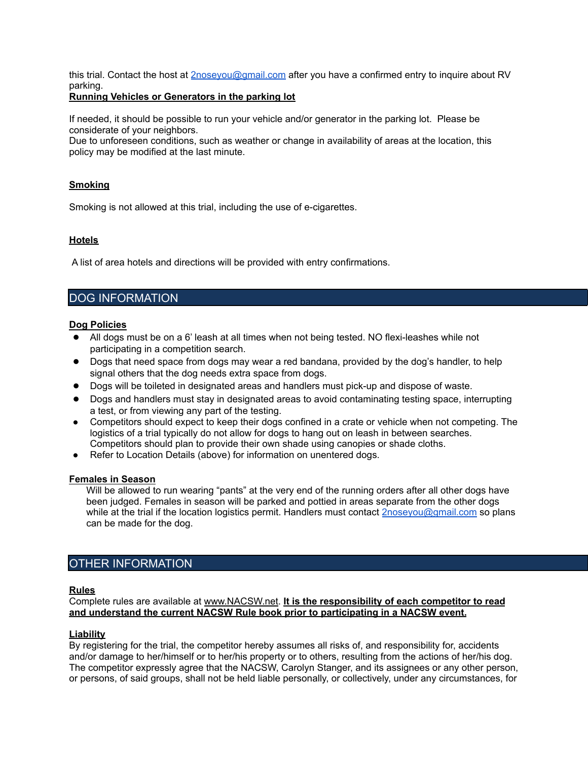this trial. Contact the host at [2noseyou@gmail.com](mailto:2noseyou@gmail.com) after you have a confirmed entry to inquire about RV parking.

### **Running Vehicles or Generators in the parking lot**

If needed, it should be possible to run your vehicle and/or generator in the parking lot. Please be considerate of your neighbors.

Due to unforeseen conditions, such as weather or change in availability of areas at the location, this policy may be modified at the last minute.

### **Smoking**

Smoking is not allowed at this trial, including the use of e-cigarettes.

### **Hotels**

A list of area hotels and directions will be provided with entry confirmations.

# DOG INFORMATION

#### **Dog Policies**

- All dogs must be on a 6' leash at all times when not being tested. NO flexi-leashes while not participating in a competition search.
- Dogs that need space from dogs may wear a red bandana, provided by the dog's handler, to help signal others that the dog needs extra space from dogs.
- Dogs will be toileted in designated areas and handlers must pick-up and dispose of waste.
- Dogs and handlers must stay in designated areas to avoid contaminating testing space, interrupting a test, or from viewing any part of the testing.
- Competitors should expect to keep their dogs confined in a crate or vehicle when not competing. The logistics of a trial typically do not allow for dogs to hang out on leash in between searches. Competitors should plan to provide their own shade using canopies or shade cloths.
- Refer to Location Details (above) for information on unentered dogs.

#### **Females in Season**

Will be allowed to run wearing "pants" at the very end of the running orders after all other dogs have been judged. Females in season will be parked and pottied in areas separate from the other dogs while at the trial if the location logistics permit. Handlers must contact **[2noseyou@gmail.com](mailto:2noseyou@gmail.com)** so plans can be made for the dog.

### OTHER INFORMATION

#### **Rules**

Complete rules are available at [www.NACSW.net.](http://www.nacsw.net) **It is the responsibility of each competitor to read and understand the current NACSW Rule book prior to participating in a NACSW event.**

#### **Liability**

By registering for the trial, the competitor hereby assumes all risks of, and responsibility for, accidents and/or damage to her/himself or to her/his property or to others, resulting from the actions of her/his dog. The competitor expressly agree that the NACSW, Carolyn Stanger, and its assignees or any other person, or persons, of said groups, shall not be held liable personally, or collectively, under any circumstances, for